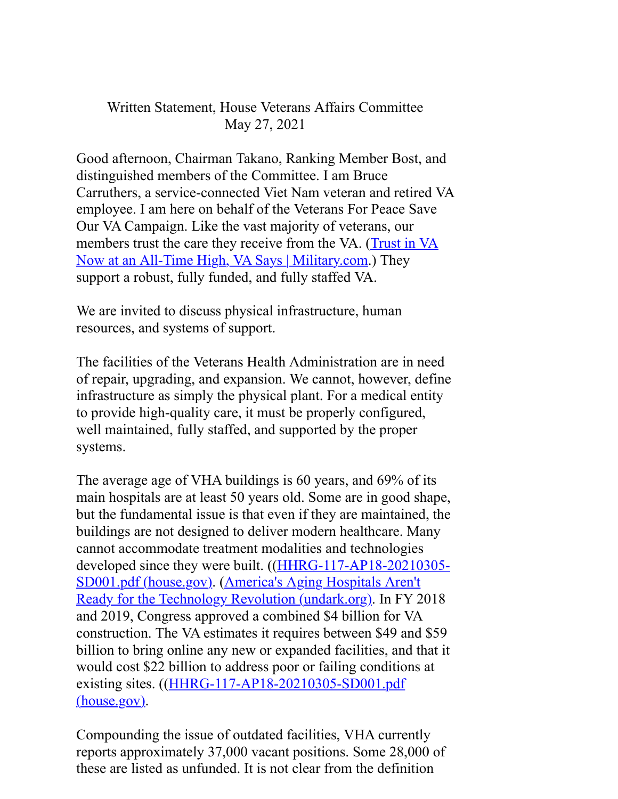## Written Statement, House Veterans Affairs Committee May 27, 2021

Good afternoon, Chairman Takano, Ranking Member Bost, and distinguished members of the Committee. I am Bruce Carruthers, a service-connected Viet Nam veteran and retired VA employee. I am here on behalf of the Veterans For Peace Save Our VA Campaign. Like the vast majority of veterans, our members trust the care they receive from the VA. (Trust in VA Now at an All-Time High, VA Says | Military.com.) They support a robust, fully funded, and fully staffed VA.

We are invited to discuss physical infrastructure, human resources, and systems of support.

The facilities of the Veterans Health Administration are in need of repair, upgrading, and expansion. We cannot, however, define infrastructure as simply the physical plant. For a medical entity to provide high-quality care, it must be properly configured, well maintained, fully staffed, and supported by the proper systems.

The average age of VHA buildings is 60 years, and 69% of its main hospitals are at least 50 years old. Some are in good shape, but the fundamental issue is that even if they are maintained, the buildings are not designed to deliver modern healthcare. Many cannot accommodate treatment modalities and technologies developed since they were built. ((HHRG-117-AP18-20210305- SD001.pdf (house.gov). (America's Aging Hospitals Aren't Ready for the Technology Revolution (undark.org). In FY 2018 and 2019, Congress approved a combined \$4 billion for VA construction. The VA estimates it requires between \$49 and \$59 billion to bring online any new or expanded facilities, and that it would cost \$22 billion to address poor or failing conditions at existing sites. ((HHRG-117-AP18-20210305-SD001.pdf (house.gov).

Compounding the issue of outdated facilities, VHA currently reports approximately 37,000 vacant positions. Some 28,000 of these are listed as unfunded. It is not clear from the definition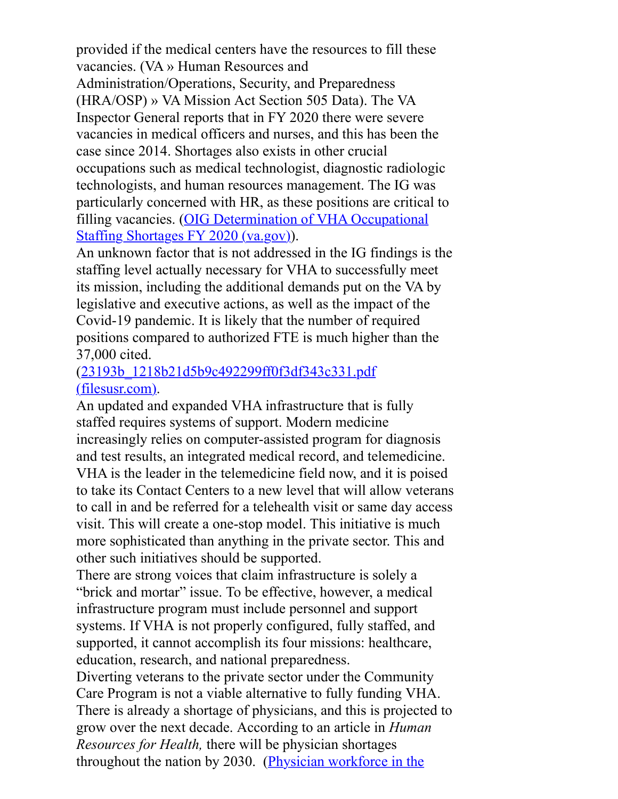provided if the medical centers have the resources to fill these vacancies. (VA » Human Resources and Administration/Operations, Security, and Preparedness (HRA/OSP) » VA Mission Act Section 505 Data). The VA Inspector General reports that in FY 2020 there were severe vacancies in medical officers and nurses, and this has been the case since 2014. Shortages also exists in other crucial occupations such as medical technologist, diagnostic radiologic technologists, and human resources management. The IG was particularly concerned with HR, as these positions are critical to filling vacancies. (OIG Determination of VHA Occupational Staffing Shortages FY 2020 (va.gov).

An unknown factor that is not addressed in the IG findings is the staffing level actually necessary for VHA to successfully meet its mission, including the additional demands put on the VA by legislative and executive actions, as well as the impact of the Covid-19 pandemic. It is likely that the number of required positions compared to authorized FTE is much higher than the 37,000 cited.

## (23193b\_1218b21d5b9c492299ff0f3df343c331.pdf (filesusr.com).

An updated and expanded VHA infrastructure that is fully staffed requires systems of support. Modern medicine increasingly relies on computer-assisted program for diagnosis and test results, an integrated medical record, and telemedicine. VHA is the leader in the telemedicine field now, and it is poised to take its Contact Centers to a new level that will allow veterans to call in and be referred for a telehealth visit or same day access visit. This will create a one-stop model. This initiative is much more sophisticated than anything in the private sector. This and other such initiatives should be supported.

There are strong voices that claim infrastructure is solely a "brick and mortar" issue. To be effective, however, a medical infrastructure program must include personnel and support systems. If VHA is not properly configured, fully staffed, and supported, it cannot accomplish its four missions: healthcare, education, research, and national preparedness.

Diverting veterans to the private sector under the Community Care Program is not a viable alternative to fully funding VHA. There is already a shortage of physicians, and this is projected to grow over the next decade. According to an article in *Human Resources for Health,* there will be physician shortages throughout the nation by 2030. (Physician workforce in the